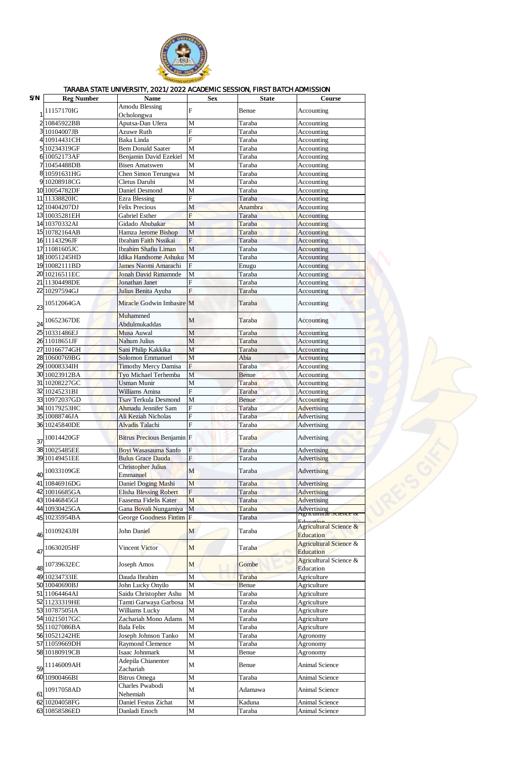| S/N | <b>Reg Number</b>               | <b>Name</b>                                        | <b>Sex</b>                | <b>State</b>           | Course                                                |
|-----|---------------------------------|----------------------------------------------------|---------------------------|------------------------|-------------------------------------------------------|
|     | 1157170IG                       | <b>Amodu Blessing</b>                              | $\mathbf{F}$              | Benue                  | Accounting                                            |
|     |                                 | Ocholongwa                                         |                           |                        |                                                       |
|     | 10845922BB                      | Aputsa-Dan Ufera                                   | M                         | Taraba                 | Accounting                                            |
|     | 3 10104007JB                    | <b>Azuwe Ruth</b>                                  | $\overline{F}$            | Taraba                 | Accounting                                            |
|     | 4 10914431CH                    | Baka Linda                                         | $\overline{F}$            | Taraba                 | Accounting                                            |
|     | 5 10234319GF<br>6 10052173AF    | <b>Bem Donald Saater</b><br>Benjamin David Ezekiel | M<br>M                    | Taraba<br>Taraba       | Accounting                                            |
|     | 10454488DB                      | <b>Bisen Amatswen</b>                              | M                         | Taraba                 | Accounting<br>Accounting                              |
|     | 8 10591631HG                    | Chen Simon Terungwa                                | M                         | Taraba                 | Accounting                                            |
|     | 9 10208918CG                    | Cletus Darubi                                      | M                         | Taraba                 | Accounting                                            |
|     | 10 10054782DF                   | Daniel Desmond                                     | M                         | Taraba                 | Accounting                                            |
|     | 11338820IC                      | <b>Ezra Blessing</b>                               | $\overline{F}$            | Taraba                 | Accounting                                            |
|     | 12 10404207DJ                   | <b>Felix Precious</b>                              | M                         | Anambra                | Accounting                                            |
|     | 13 10035281EH                   | Gabriel Esther                                     | F                         | Taraba                 | Accounting                                            |
|     | 14 10370332AI                   | Gidado Abubakar                                    | M                         | Taraba                 | <b>Accounting</b>                                     |
|     | 15 10782164AB                   | Hamza Jerome Bishop                                | M                         | Taraba                 | <b>Accounting</b>                                     |
|     | 16 11143296JF                   | <b>Ibrahim Faith Nssikai</b>                       | $\boldsymbol{\mathrm{F}}$ | Taraba                 | Accounting                                            |
|     | 17 1081605JC                    | <b>Ibrahim Shafiu Liman</b>                        | M                         | Taraba                 | Accounting                                            |
|     | 18 10051245HD                   | Idika Handsome Ashuku                              | $\mathbf{M}$              | Taraba                 | Accounting                                            |
|     | 19 10082111BD                   | James Naomi Amarachi                               | F                         | Enugu                  | Accounting                                            |
|     | 20 10216511 EC                  | <b>Jonah David Rimamnde</b>                        | M                         | Taraba                 | Accounting                                            |
|     | 21 1304498DE                    | Jonathan Janet                                     | F                         | Taraba                 | Accounting                                            |
|     | 22 10297594GJ                   | Julius Benita Ayuba                                | $\mathbf{F}$              | Taraba                 | Accounting                                            |
|     | 10512064GA                      | Miracle Godwin Imbasire M                          |                           | Taraba                 | Accounting                                            |
| 23  | 10652367DE                      | Muhammed                                           | M                         | Taraba                 | Accounting                                            |
| 24  |                                 | Abdulmukaddas                                      |                           |                        |                                                       |
|     | 25 10331486EJ                   | Musa Auwal                                         | M                         | Taraba                 | <b>Accounting</b>                                     |
|     | 26 11018651JF                   | <b>Nahum Julius</b>                                | $\mathbf M$               | Taraba                 | Accounting                                            |
|     | 27 10166774GH                   | Sani Philip Kakkika                                | M                         | Taraba                 | Accounting                                            |
|     | 28 10600769BG                   | <b>Solomon Emmanuel</b>                            | M                         | Abia                   | <b>Accounting</b>                                     |
|     | 29 10008334IH                   | <b>Timothy Mercy Damisa</b>                        | F                         | Taraba                 | Accounting                                            |
|     | 30 10023912BA                   | Tyo Michael Terhemba                               | M                         | <b>Benue</b>           | Accounting                                            |
|     | 31 10208227GC<br>32 10245231 BI | <b>Usman Munir</b><br>Williams Amina               | M<br>F                    | Taraba                 | Accounting                                            |
|     | 33 10972037GD                   | <b>Tsav Terkula Desmond</b>                        | M                         | Taraba<br><b>Benue</b> | Accounting<br><b>Accounting</b>                       |
|     | 34 10179253HC                   | Ahmadu Jennifer Sam                                | $\overline{F}$            | Taraba                 | <b>Advertising</b>                                    |
|     | 35 10088746JA                   | Ali Keziah Nicholas                                | $\overline{F}$            | Taraba                 | Advertising                                           |
|     | 36 10245840DE                   | <b>Alvadis Talachi</b>                             | F                         | Taraba                 | Advertising                                           |
| 37  | 10014420GF                      | Bitrus Precious Benjamin F                         |                           | Taraba                 | Advertising                                           |
|     | 38 10025485EE                   | Boyi Wasasauma Sanfo                               | $\mathbf{F}$              | Taraba                 | Advertising                                           |
|     | 39 10149451EE                   | <b>Bulus Grace Dauda</b>                           | $\overline{F}$            | Taraba                 | Advertising                                           |
|     |                                 | <b>Christopher Julius</b>                          |                           |                        |                                                       |
| 40  | 10033109GE                      | Emmanuel                                           | M                         | Taraba                 | Advertising                                           |
|     | 41 10846916DG                   | Daniel Doging Mashi                                | M                         | Taraba                 | Advertising                                           |
|     | 42 10016685GA                   | <b>Elisha Blessing Robert</b>                      | F                         | Taraba                 | <b>Advertising</b>                                    |
|     | 43 10446845GI                   | Faasema Fidelis Kater                              | M                         | Taraba                 | <b>Advertising</b>                                    |
|     | 44 10930425GA                   | Gana Bovali Nungamiya                              | M                         | Taraba                 | Advertising<br>Agricultural Science &                 |
|     | 45 10235954BA                   | George Goodness Fintim F                           |                           | Taraba                 | Edu                                                   |
| 46  | 10109243JH                      | John Daniel                                        | M                         | Taraba                 | <b>Agricultural Science &amp;</b><br>Education        |
| 47  | 10630205HF                      | Vincent Victor                                     | M                         | Taraba                 | <b>Agricultural Science &amp;</b><br><b>Education</b> |
| 48  | 10739632EC                      | Joseph Amos                                        | M                         | Gombe                  | Agricultural Science &<br>Education                   |
|     | 49 10234733IE                   | Dauda Ibrahim                                      | M                         | Taraba                 | Agriculture                                           |
|     | 50 10040690BJ                   | John Lucky Onyilo                                  | M                         | <b>Benue</b>           | Agriculture                                           |
|     | 51 1064464AI                    | Saidu Christopher Ashu                             | M                         | Taraba                 | Agriculture                                           |
|     | 52 11233319HE                   | Tamti Garwaya Garbosa                              | $\mathbf{M}$              | Taraba                 | Agriculture                                           |
|     | 53 10787505IA                   | Williams Lucky                                     | $\mathbf M$               | Taraba                 | Agriculture                                           |
|     | 54 10215017GC                   | Zachariah Mono Adams                               | $\mathbf M$               | Taraba                 | Agriculture                                           |
|     | 55 11027086BA                   | <b>Bala Felix</b>                                  | $\mathbf M$               | Taraba                 | Agriculture                                           |
|     | 56 10521242HE                   | Joseph Johnson Tanko                               | $\mathbf M$               | Taraba                 | Agronomy                                              |
|     | 57 11059669DH                   | <b>Raymond Clemence</b>                            | $\mathbf M$               | Taraba                 | Agronomy                                              |
|     | 58 10180919CB                   | Isaac Johnmark                                     | $\mathbf{M}$              | Benue                  | Agronomy                                              |
| 59  | 1146009AH                       | Adepila Chianenter<br>Zachariah                    | M                         | Benue                  | <b>Animal Science</b>                                 |
|     | 60 10900466BI                   | <b>Bitrus Omega</b>                                | $\mathbf{M}$              | Taraba                 | <b>Animal Science</b>                                 |
| 61  | 10917058AD                      | Charles Pwabodi<br>Nehemiah                        | M                         | Adamawa                | <b>Animal Science</b>                                 |
|     | 62 10204058FG                   | Daniel Festus Zichat                               | M                         | Kaduna                 | <b>Animal Science</b>                                 |
|     | 63 10858586ED                   | Danladi Enoch                                      | $\mathbf M$               | Taraba                 | <b>Animal Science</b>                                 |



## TARABA STATE UNIVERSITY, 2021/2022 ACADEMIC SESSION, FIRST BATCH ADMISSION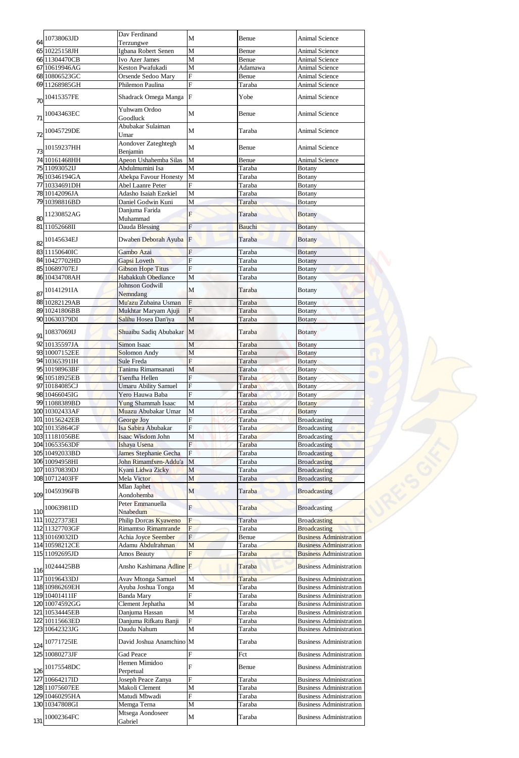|     |                | Dav Ferdinand                    |                         |         | <b>Animal Science</b>          |
|-----|----------------|----------------------------------|-------------------------|---------|--------------------------------|
| 64  | 10738063JD     | Terzungwe                        | M                       | Benue   |                                |
|     | 65 10225158JH  | Igbana Robert Senen              | M                       | Benue   | <b>Animal Science</b>          |
|     |                |                                  |                         |         |                                |
|     | 66 11304470CB  | Ivo Azer James                   | M                       | Benue   | <b>Animal Science</b>          |
|     | 67 10619946AG  | Keston Pwafukadi                 | M                       | Adamawa | <b>Animal Science</b>          |
|     | 68 10806523GC  |                                  | $\overline{\mathrm{F}}$ |         | <b>Animal Science</b>          |
|     |                | Orsende Sedoo Mary               |                         | Benue   |                                |
|     | 69 11268985GH  | Philemon Paulina                 | F                       | Taraba  | <b>Animal Science</b>          |
| 70  | 10415357FE     | Shadrack Omega Manga             | F                       | Yobe    | <b>Animal Science</b>          |
| 71  | 10043463EC     | Yuhwam Ordoo                     | $\mathbf{M}$            | Benue   | <b>Animal Science</b>          |
|     | 10045729DE     | Goodluck<br>Abubakar Sulaiman    | M                       | Taraba  | <b>Animal Science</b>          |
| 72  |                | Umar<br>Aondover Zateghtegh      |                         |         |                                |
| 73  | 10159237HH     | Benjamin                         | $\mathbf{M}$            | Benue   | <b>Animal Science</b>          |
|     | 74 10161468HH  | Apeon Ushahemba Silas            | M                       | Benue   | <b>Animal Science</b>          |
|     | 75 11093052IJ  | Abdulmumini Isa                  | M                       | Taraba  | <b>Botany</b>                  |
|     | 76 10346194GA  | Abekpa Favour Honesty            | M                       | Taraba  | <b>Botany</b>                  |
|     |                |                                  |                         |         |                                |
|     | 77 10334691DH  | <b>Abel Laanre Peter</b>         | F                       | Taraba  | <b>Botany</b>                  |
|     | 78 10142096JA  | Adasho Isaiah Ezekiel            | M                       | Taraba  | <b>Botany</b>                  |
|     | 79 10398816BD  | Daniel Godwin Kuni               | M                       | Taraba  | <b>Botany</b>                  |
|     |                | Danjuma Farida                   |                         |         |                                |
| 80  | 11230852AG     |                                  | F                       | Taraba  | <b>Botany</b>                  |
|     |                | Muhammad                         |                         |         |                                |
|     | 81 1052668II   | Dauda Blessing                   | $\overline{F}$          | Bauchi  | <b>Botany</b>                  |
| 82  | 10145634EJ     | Dwaben Deborah Ayuba F           |                         | Taraba  | <b>Botany</b>                  |
|     | 83 11150640IC  | Gambo Azai                       | F                       | Taraba  | <b>Botany</b>                  |
|     | 84 10427702HD  | Gapsi Loveth                     | F                       | Taraba  | <b>Botany</b>                  |
|     | 85 10689707EJ  |                                  | F                       |         |                                |
|     |                | <b>Gibson Hope Titus</b>         |                         | Taraba  | <b>Botany</b>                  |
|     | 86 10434708AH  | Habakkuh Obediance               | M                       | Taraba  | <b>Botany</b>                  |
|     | 10141291IA     | Johnson Godwill                  | M                       | Taraba  | <b>Botany</b>                  |
| 87  | 88 10282129AB  | Nemndang<br>Mu'azu Zubaina Usman | $\overline{F}$          | Taraba  | <b>Botany</b>                  |
|     |                |                                  |                         |         |                                |
|     | 89 10241806BB  | Mukhtar Maryam Ajuji             | $\overline{F}$          | Taraba  | <b>Botany</b>                  |
|     | 90 10630379DI  | Salihu Hosea Dan'iya             | M                       | Taraba  | <b>Botany</b>                  |
|     |                |                                  |                         |         |                                |
| 91  | 10837069IJ     | Shuaibu Sadiq Abubakar M         |                         | Taraba  | <b>Botany</b>                  |
|     | 92 10135597JA  | Simon Isaac                      |                         | Taraba  |                                |
|     |                |                                  | M                       |         | <b>Botany</b>                  |
|     | 93 10007152EE  | Solomon Andy                     | M                       | Taraba  | <b>Botany</b>                  |
|     | 94 10365391IH  | Sule Freda                       | $\overline{F}$          | Taraba  | <b>Botany</b>                  |
|     | 95 10198963BF  | Tanimu Rimamsanati               | M                       | Taraba  | <b>Botany</b>                  |
|     | 96 10518925EB  | Tsenfha Hellen                   | F                       | Taraba  |                                |
|     |                |                                  |                         |         | <b>Botany</b>                  |
|     | 97 10184085CJ  | <b>Umaru Ability Samuel</b>      | $\overline{F}$          | Taraba  | <b>Botany</b>                  |
|     | 98 10466045IG  | Yero Hauwa Baba                  | F                       | Taraba  | <b>Botany</b>                  |
|     | 99 11088389BD  | Yung Shammah Isaac               | M                       | Taraba  | <b>Botany</b>                  |
|     | 100 10302433AF | Muazu Abubakar Umar              | M                       | Taraba  | <b>Botany</b>                  |
|     |                |                                  |                         |         |                                |
|     | 101 10156242EB | George Joy                       | F                       | Taraba  | <b>Broadcasting</b>            |
|     | 102 10135864GF | Isa Sabira Abubakar              | F                       | Taraba  | <b>Broadcasting</b>            |
|     | 103 11181056BE | Isaac Wisdom John                | M                       | Taraba  | <b>Broadcasting</b>            |
|     | 104 10653563DF | <b>Ishaya Usena</b>              | Ë                       | Taraba  | <b>Broadcasting</b>            |
|     |                |                                  | F                       |         |                                |
|     | 105 10492033BD | James Stephanie Gecha            |                         | Taraba  | <b>Broadcasting</b>            |
|     | 106 10094958HI | John Rimamfxen-Addu'a            | M                       | Taraba  | <b>Broadcasting</b>            |
|     | 107 10370839DJ | Kyani Lidwa Zicky                | M                       | Taraba  | <b>Broadcasting</b>            |
|     | 108 10712403FF | <b>Mela Victor</b>               | M                       | Taraba  | <b>Broadcasting</b>            |
|     |                | Mlan Japhet                      |                         |         |                                |
| 109 | 10459396FB     | Aondohemba                       | M                       | Taraba  | <b>Broadcasting</b>            |
|     |                | Peter Emmanuella                 |                         |         |                                |
| 110 | 10063981ID     | <b>Nnabedum</b>                  | F                       | Taraba  | <b>Broadcasting</b>            |
|     |                |                                  |                         |         |                                |
|     | 111 10227373EI | Philip Dorcas Kyaweno            | F                       | Taraba  | <b>Broadcasting</b>            |
|     | 112 11327703GF | Rimamtso Rimamrande              | F                       | Taraba  | <b>Broadcasting</b>            |
|     | 113 10169032ID | Achia Joyce Seember              | $\overline{\mathrm{F}}$ | Benue   | <b>Business Administration</b> |
|     | 114 10598212CE | Adamu Abdulrahman                | M                       | Taraba  | <b>Business Administration</b> |
|     |                |                                  |                         |         |                                |
|     | 115 11092695JD | <b>Amos Beauty</b>               | F                       | Taraba  | <b>Business Administration</b> |
| 116 | 10244425BB     | Ansho Kashimana Adline F         |                         | Taraba  | <b>Business Administration</b> |
|     |                |                                  |                         |         |                                |
|     | 117 10196433DJ | <b>Avav Mtonga Samuel</b>        | $\mathbf{M}$            | Taraba  | <b>Business Administration</b> |
|     | 118 10986269EH | Ayuba Joshua Tonga               | $\mathbf M$             | Taraba  | <b>Business Administration</b> |
|     | 119 10401411IF | <b>Banda Mary</b>                | F                       | Taraba  | <b>Business Administration</b> |
|     |                |                                  |                         |         |                                |
|     | 120 10074592GG | Clement Jephatha                 | M                       | Taraba  | <b>Business Administration</b> |
|     | 121 10534445EB | Danjuma Hassan                   | M                       | Taraba  | <b>Business Administration</b> |
|     | 122 10115663ED | Danjuma Rifkatu Banji            | $\mathbf F$             | Taraba  | <b>Business Administration</b> |
|     | 123 10642323JG | Daudu Nahum                      | $\mathbf{M}$            | Taraba  | <b>Business Administration</b> |
|     | 10771725IE     | David Joshua Anamchino M         |                         | Taraba  | <b>Business Administration</b> |
| 124 |                |                                  |                         |         |                                |
|     | 125 10080273JF | Gad Peace<br>Hemen Mimidoo       | F                       | Fct     | <b>Business Administration</b> |
| 126 | 10175548DC     | Perpetual                        | F                       | Benue   | <b>Business Administration</b> |
|     | 127 10664217ID | Joseph Peace Zanya               | F                       | Taraba  | <b>Business Administration</b> |
|     |                |                                  |                         |         |                                |
|     | 128 11075607EE | Makoli Clement                   | M                       | Taraba  | <b>Business Administration</b> |
|     | 129 10460295HA | Matudi Mbwadi                    | F                       | Taraba  | <b>Business Administration</b> |
|     |                | Memga Terna                      | M                       | Taraba  | <b>Business Administration</b> |
|     |                |                                  |                         |         |                                |
|     | 130 10347808GI |                                  |                         |         |                                |
| 131 | 10002364FC     | Mtsega Aondoseer<br>Gabriel      | M                       | Taraba  | <b>Business Administration</b> |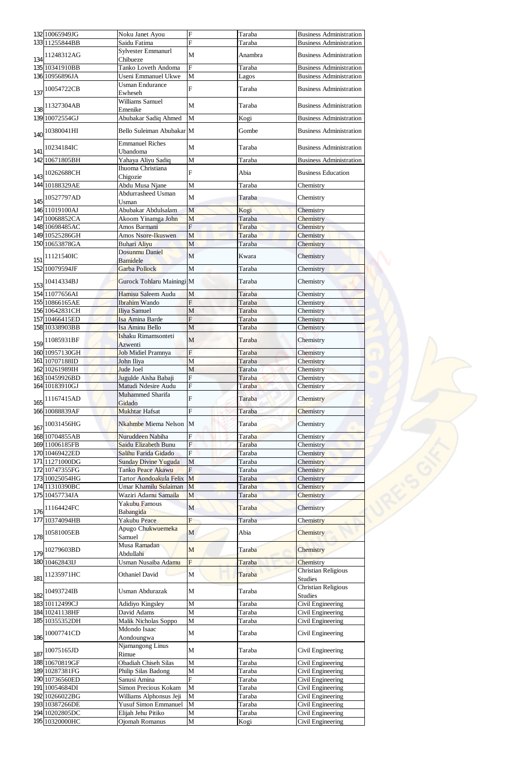|     | 132 10065949JG            | Noku Janet Ayou                   | $\boldsymbol{\mathrm{F}}$ | Taraba  | <b>Business Administration</b> |
|-----|---------------------------|-----------------------------------|---------------------------|---------|--------------------------------|
|     | 133 11255844BB            | Saidu Fatima                      | $\overline{\mathrm{F}}$   | Taraba  | <b>Business Administration</b> |
|     |                           | <b>Sylvester Emmanurl</b>         |                           |         |                                |
| 134 | 1248312AG                 | Chibueze                          | M                         | Anambra | <b>Business Administration</b> |
|     | 135 10341910BB            | Tanko Loveth Andoma               | F                         | Taraba  | <b>Business Administration</b> |
|     |                           |                                   |                           |         |                                |
|     | 136 10956896JA            | Useni Emmanuel Ukwe               | M                         | Lagos   | <b>Business Administration</b> |
|     | 10054722CB                | <b>Usman Endurance</b>            | $\boldsymbol{\mathrm{F}}$ | Taraba  | <b>Business Administration</b> |
| 137 |                           | Ewheseh                           |                           |         |                                |
|     |                           | Williams Samuel                   |                           |         |                                |
| 138 | 11327304AB                | Emenike                           | M                         | Taraba  | <b>Business Administration</b> |
|     | 139 10072554GJ            | Abubakar Sadiq Ahmed              | M                         | Kogi    | <b>Business Administration</b> |
|     |                           |                                   |                           |         |                                |
| 140 | 10380041HI                | Bello Suleiman Abubakar M         |                           | Gombe   | <b>Business Administration</b> |
|     |                           |                                   |                           |         |                                |
|     | 10234184IC                | <b>Emmanuel Riches</b>            | M                         | Taraba  | <b>Business Administration</b> |
| 141 |                           | Ubandoma                          |                           |         |                                |
|     | 142 10671805BH            | Yahaya Aliyu Sadiq                | M                         | Taraba  | <b>Business Administration</b> |
|     |                           | Ihuoma Christiana                 | $\overline{\mathrm{F}}$   | Abia    | <b>Business Education</b>      |
|     | 143 <sup>10262688CH</sup> | Chigozie                          |                           |         |                                |
|     | 144 10188329AE            | Abdu Musa Njane                   | $\mathbf{M}$              | Taraba  | Chemistry                      |
|     |                           | Abdurrasheed Usman                |                           |         |                                |
| 145 | 10527797AD                |                                   | $\mathbf M$               | Taraba  | Chemistry                      |
|     |                           | Usman                             |                           |         |                                |
|     | 146 11019100AJ            | Abubakar Abdulsalam               | M                         | Kogi    | Chemistry                      |
|     | 147 10068852CA            | Akoom Yinamga John                | M                         | Taraba  | Chemistry                      |
|     | 148 10698485AC            | Amos Barmani                      | $\overline{F}$            | Taraba  | Chemistry                      |
|     | 149 10525286GH            | Amos Nsore-Ikuswen                | M                         | Taraba  | Chemistry                      |
|     | 150 10653878GA            | <b>Buhari Aliyu</b>               | M                         | Taraba  | Chemistry                      |
|     |                           | Dosunmu Daniel                    |                           |         |                                |
| 151 | 11121540IC                | <b>Bamidele</b>                   | M                         | Kwara   | Chemistry                      |
|     |                           |                                   |                           |         |                                |
|     | 152 10079594JF            | Garba Pollock                     | M                         | Taraba  | Chemistry                      |
|     | 10414334BJ                | Gurock Tohlaru Mainingi M         |                           | Taraba  | Chemistry                      |
| 153 |                           |                                   |                           |         |                                |
|     | 154 11077656AI            | Hamisu Saleem Audu                | M                         | Taraba  | Chemistry                      |
|     | 155 10866165AE            | <b>Ibrahim Wando</b>              | $\overline{F}$            | Taraba  | Chemistry                      |
|     | 156 10642831CH            | Iliya Samuel                      | M                         | Taraba  | Chemistry                      |
|     | 157 10466415ED            | Isa Amina Barde                   | $\overline{F}$            | Taraba  | Chemistry                      |
|     |                           |                                   |                           |         |                                |
|     | 158 10338903BB            | Isa Aminu Bello                   | $\mathbf M$               | Taraba  | Chemistry                      |
|     | 11085931BF                | Ishaku Rimamsonteti               | $\mathbf{M}$              | Taraba  | Chemistry                      |
| 159 |                           | Azwenti                           |                           |         |                                |
|     | 160 10957130GH            | Job Midiel Pramnya                | ${\bf F}$                 | Taraba  | Chemistry                      |
|     | 161 10707188ID            | John Iliya                        | M                         | Taraba  | Chemistry                      |
|     | 162 10261989IH            | Jude Joel                         | $\mathbf{M}$              | Taraba  | Chemistry                      |
|     | 163 10459926BD            | Jugulde Aisha Babaji              | $\overline{\mathrm{F}}$   | Taraba  | Chemistry                      |
|     |                           | Matudi Ndesire Audu               | F                         |         |                                |
|     | 164 10183910GJ            |                                   |                           | Taraba  | Chemistry                      |
|     | 11167415AD                | Muhammed Sharifa                  | F                         | Taraba  | Chemistry                      |
| 165 |                           | Gidado                            |                           |         |                                |
|     | 166 10088839AF            | Mukhtar Hafsat                    | F                         | Taraba  | Chemistry                      |
|     |                           |                                   |                           |         |                                |
| 167 | 10031456HG                | Nkahmbe Miema Nelson M            |                           | Taraba  | Chemistry                      |
|     | 168 10704855AB            | Nuruddeen Nabiha                  | $\boldsymbol{\mathrm{F}}$ | Taraba  | Chemistry                      |
|     | 169 11006185FB            | Saidu Elizabeth Bunu              | $\overline{F}$            | Taraba  | Chemistry                      |
|     |                           |                                   |                           |         |                                |
|     | 170 10469422ED            | Salihu Farida Gidado              | F                         | Taraba  | Chemistry                      |
|     | 171 1271000DG             | <b>Sunday Divine Yuguda</b>       | M                         | Taraba  | Chemistry                      |
|     | 172 10747355FG            | Tanko Peace Akawu                 | $\overline{F}$            | Taraba  | Chemistry                      |
|     | 173 10025054HG            | Tartor Aondoakula Felix           | M                         | Taraba  | Chemistry                      |
|     | 174 11310390BC            | Umar Khamilu Sulaiman             | M                         | Taraba  | Chemistry                      |
|     | 175 10457734JA            | Waziri Adamu Samaila              | M                         | Taraba  | Chemistry                      |
|     |                           |                                   |                           |         |                                |
|     | 11164424FC                | Yakubu Famous                     | M                         | Taraba  | Chemistry                      |
| 176 |                           | <b>Babangida</b>                  |                           |         |                                |
|     | 177 10374094HB            | Yakubu Peace                      | $\boldsymbol{\mathrm{F}}$ | Taraba  | Chemistry                      |
|     |                           | Apugo Chukwuemeka                 |                           |         |                                |
| 178 | 10581005EB                | Samuel                            | M                         | Abia    | <b>Chemistry</b>               |
|     |                           | Musa Ramadan                      |                           |         |                                |
| 179 | 10279603BD                | Abdullahi                         | M                         | Taraba  | Chemistry                      |
|     |                           |                                   |                           |         |                                |
|     | 180 10462843IJ            | Usman Nusaiba Ada <mark>mu</mark> | $\overline{F}$            | Taraba  | Chemistry                      |
|     | 1235971HC                 | <b>Othaniel David</b>             | $\mathbf M$               | Taraba  | <b>Christian Religious</b>     |
| 181 |                           |                                   |                           |         | <b>Studies</b>                 |
|     |                           |                                   |                           |         | <b>Christian Religious</b>     |
| 182 | 10493724IB                | Usman Abdurazak                   | M                         | Taraba  | <b>Studies</b>                 |
|     | 183 10112499CJ            | Adidiyo Kingsley                  | M                         | Taraba  | Civil Engineering              |
|     | 184 10241138HF            | David Adams                       | $\mathbf M$               | Taraba  | Civil Engineering              |
|     |                           |                                   |                           |         |                                |
|     | 185 10355352DH            | Malik Nicholas Soppo              | $\mathbf M$               | Taraba  | Civil Engineering              |
|     | 10007741CD                | Mdondo Isaac                      | $\mathbf{M}$              | Taraba  | Civil Engineering              |
| 186 |                           | Aondoungwa                        |                           |         |                                |
|     |                           | Njamangong Linus                  |                           |         |                                |
| 187 | 10075165JD                | Rimue                             | M                         | Taraba  | Civil Engineering              |
|     | 188 10670819GF            | <b>Obadiah Chiseh Silas</b>       | M                         | Taraba  | Civil Engineering              |
|     | 189 10287381FG            | Philip Silas Badong               | $\mathbf M$               | Taraba  | Civil Engineering              |
|     |                           |                                   |                           |         |                                |
|     | 190 10736560ED            | Sanusi Amina                      | F                         | Taraba  | Civil Engineering              |
|     | 191 10054684DI            | <b>Simon Precious Kokam</b>       | M                         | Taraba  | Civil Engineering              |
|     | 192 10266022BG            | Williams Alphonsus Jeji           | $\mathbf M$               | Taraba  | Civil Engineering              |
|     | 193 10387266DE            | <b>Yusuf Simon Emmanuel</b>       | M                         | Taraba  | Civil Engineering              |
|     | 194 10202805DC            | Elijah Jehu Pitiko                | M                         | Taraba  | Civil Engineering              |
|     | 195 10320000HC            | Ojomah Romanus                    | $\mathbf M$               | Kogi    | Civil Engineering              |
|     |                           |                                   |                           |         |                                |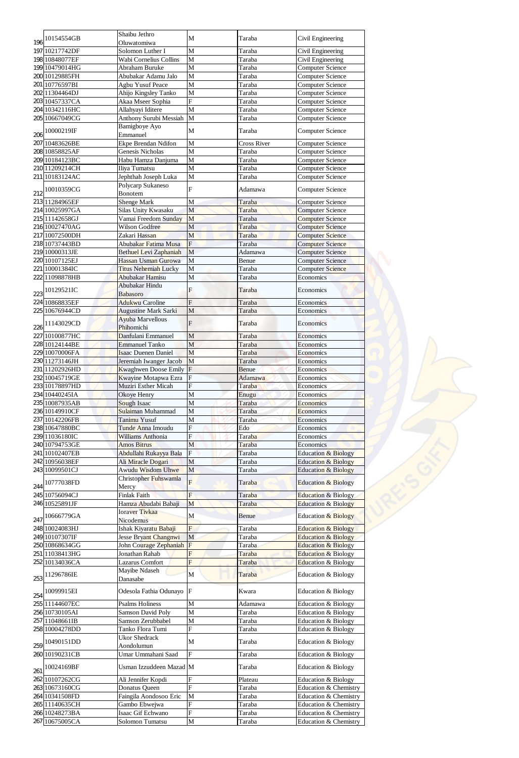|     | 10154554GB                       | Shaibu Jethro                              | M                    | Taraba             | Civil Engineering                                                |
|-----|----------------------------------|--------------------------------------------|----------------------|--------------------|------------------------------------------------------------------|
| 196 |                                  | Oluwatomiwa                                |                      |                    |                                                                  |
|     | 197 10217742DF<br>198 10848077EF | Solomon Luther I<br>Wabi Cornelius Collins | M                    | Taraba             | Civil Engineering                                                |
|     | 199 10479014HG                   | <b>Abraham Buruke</b>                      | M<br>M               | Taraba<br>Taraba   | Civil Engineering<br><b>Computer Science</b>                     |
|     | 200 10129885FH                   | Abubakar Adamu Jalo                        | M                    | Taraba             | <b>Computer Science</b>                                          |
|     | 201 10776597BI                   | <b>Agbu Yusuf Peace</b>                    | $\mathbf{M}$         | Taraba             | <b>Computer Science</b>                                          |
|     | 202 11304464DJ                   | Ahijo Kingsley Tanko                       | $\mathbf{M}$         | Taraba             | <b>Computer Science</b>                                          |
|     | 203 10457337CA                   | Akaa Mseer Sophia                          | F                    | Taraba             | <b>Computer Science</b>                                          |
|     | 204 10342116HC                   | Allahyayi Iditere                          | M                    | Taraba             | <b>Computer Science</b>                                          |
|     | 205 10667049CG                   | <b>Anthony Surubi Messiah</b>              | M                    | Taraba             | <b>Computer Science</b>                                          |
|     | 10000219IF                       | Bamigboye Ayo                              | M                    | Taraba             | <b>Computer Science</b>                                          |
| 206 |                                  | Emmanuel                                   |                      |                    |                                                                  |
|     | 207 10483626BE                   | Ekpe Brendan Ndifon                        | M                    | <b>Cross River</b> | <b>Computer Science</b>                                          |
|     | 208 10858825AF<br>209 10184123BC | <b>Genesis Nicholas</b>                    | M<br>$\mathbf M$     | Taraba             | <b>Computer Science</b>                                          |
|     | 210 11209214CH                   | Habu Hamza Danjuma<br>Iliya Tumatsu        | M                    | Taraba<br>Taraba   | <b>Computer Science</b><br><b>Computer Science</b>               |
|     | 211 10183124AC                   | Jephthah Joseph Luka                       | M                    | Taraba             | <b>Computer Science</b>                                          |
|     |                                  | Polycarp Sukaneso                          |                      |                    |                                                                  |
| 212 | 10010359CG                       | Bonotem                                    | $\overline{F}$       | Adamawa            | <b>Computer Science</b>                                          |
|     | 213 11284965EF                   | Shenge Mark                                | M                    | Taraba             | <b>Computer Science</b>                                          |
|     | 214 10025997GA                   | Silas Unity Kwasaku                        | M                    | Taraba             | <b>Computer Science</b>                                          |
|     | 215 11142658GJ                   | Vamai Freedom Sunday                       | M                    | Taraba             | <b>Computer Science</b>                                          |
|     | 216 10027470AG                   | <b>Wilson Godfree</b>                      | M                    | Taraba             | <b>Computer Science</b>                                          |
|     | 217 10072500DH                   | Zakari Hassan                              | M                    | Taraba             | <b>Computer Science</b>                                          |
|     | 218 10737443BD                   | Abubakar Fatima Musa                       | $\overline{F}$       | Taraba             | <b>Computer Science</b>                                          |
|     | 219 10000313JE                   | <b>Bethuel Levi Zaphaniah</b>              | M                    | Adamawa            | <b>Computer Science</b>                                          |
|     | 220 10107125EJ                   | Hassan Usman Gurowa                        | M                    | Benue              | <b>Computer Science</b>                                          |
|     | 221 10001384IC<br>222 11098878HB | <b>Titus Nehemiah Lucky</b>                | M                    | Taraba             | <b>Computer Science</b>                                          |
|     |                                  | Abubakar Hamisu<br>Abubakar Hindu          | M                    | Taraba             | Economics                                                        |
| 223 | 10129521IC                       | Babasoro                                   |                      | Taraba             | Economics                                                        |
|     | 224 10868835EF                   | <b>Adukwu Caroline</b>                     | $\overline{F}$       | Taraba             | Economics                                                        |
|     | 225 10676944CD                   | <b>Augustine Mark Sarki</b>                | M                    | Taraba             | Economics                                                        |
|     |                                  | <b>Ayuba Marvellous</b>                    |                      |                    |                                                                  |
| 226 | 11143029CD                       | Phihomichi                                 | F                    | Taraba             | <b>Economics</b>                                                 |
|     | 227 10100877HC                   | Danfulani Emmanuel                         | M                    | Taraba             | Economics                                                        |
|     | 228 10124144BE                   | <b>Emmanuel Tanko</b>                      | M                    | Taraba             | Economics                                                        |
|     | 229 10070006FA                   | <b>Isaac Duenen Daniel</b>                 | M                    | Taraba             | Economics                                                        |
|     | 230 11273146JH                   | Jeremiah Iwanger Jacob                     | M                    | Taraba             | Economics                                                        |
|     | 231 1202926HD                    | <b>Kwaghwen Doose Emily</b>                | F                    | <b>Benue</b>       | Economics                                                        |
|     | 232 10045719GE                   | Kwayine Motapwa Ezra                       | F                    | Adamawa            | Economics                                                        |
|     | 233 10178897HD                   | <b>Muziri Esther Micah</b>                 | F                    | Taraba             | Economics                                                        |
|     | 234 10440245IA                   | Okoye Henry                                | M                    | Enugu              | Economics                                                        |
|     | 235 10087935AB<br>236 10149910CF | <b>Sough Isaac</b><br>Sulaiman Muhammad    | M<br>M               | Taraba<br>Taraba   | <b>Economics</b><br>Economics                                    |
|     | 237 10142206FB                   | Tanimu Yusuf                               | M                    | Taraba             | Economics                                                        |
|     | 238 10647880BC                   | Tunde Anna Imoudu                          | $\overline{F}$       | Edo                | Economics                                                        |
|     | 239 11036180IC                   | <b>Williams Anthonia</b>                   | F                    | Taraba             | Economics                                                        |
|     | 240 10794753GE                   | <b>Amos Bitrus</b>                         | M                    | Taraba             | Economics                                                        |
|     | 241 10102407EB                   | Abdullahi Rukayya Bala                     | F                    | Taraba             | Education & Biology                                              |
|     | 242 10956038EF                   | Ali Miracle Dogari                         | M                    | Taraba             | <b>Education &amp; Biology</b>                                   |
|     | 243 10099501CJ                   | <b>Awudu Wisdom Uhwe</b>                   | M                    | Taraba             | <b>Education &amp; Biology</b>                                   |
|     | 10777038FD                       | Christopher Fuhswamla                      |                      |                    |                                                                  |
| 244 |                                  | Mercy                                      |                      | Taraba             | Education & Biology                                              |
|     | 245 10756094CJ                   | <b>Finlak Faith</b>                        | F                    | Taraba             | <b>Education &amp; Biology</b>                                   |
|     | 246 10525891JF                   | Hamza Abudabi Babaji                       | M                    | Taraba             | <b>Education &amp; Biology</b>                                   |
|     | 10666779GA                       | <b>Ioraver Tivkaa</b>                      | M                    | <b>Benue</b>       | <b>Education &amp; Biology</b>                                   |
| 247 |                                  | Nicodemus                                  |                      |                    |                                                                  |
|     | 248 10024083HJ                   | Ishak Kiyaratu Babaji                      | F                    | Taraba             | <b>Education &amp; Biology</b>                                   |
|     | 249 10107307IF                   | <b>Jesse Bryant Changnwi</b>               | M                    | Taraba             | <b>Education &amp; Biology</b>                                   |
|     | 250 10868634GG                   | John Courage Zephaniah                     | F <br>$\overline{F}$ | Taraba             | <b>Education &amp; Biology</b>                                   |
|     | 251 11038413HG<br>252 10134036CA | Jonathan Rahab<br>Lazarus Comfort          | F                    | Taraba<br>Taraba   | <b>Education &amp; Biology</b><br><b>Education &amp; Biology</b> |
|     |                                  | Mayibe Ndaseh                              |                      |                    |                                                                  |
| 253 | 11296786IE                       | Danasabe                                   | $\mathbf M$          | Taraba             | Education & Biology                                              |
|     |                                  |                                            |                      |                    |                                                                  |
| 254 | 10099915EI                       | Odesola Fathia Odunayo                     | F                    | Kwara              | <b>Education &amp; Biology</b>                                   |
|     | 255 11144607EC                   | <b>Psalms Holiness</b>                     | $\mathbf M$          | Adamawa            | <b>Education &amp; Biology</b>                                   |
|     | 256 10730105AI                   | <b>Samson David Poly</b>                   | M                    | Taraba             | Education & Biology                                              |
|     | 257 11048661IB                   | Samson Zerubbabel                          | $\mathbf M$          | Taraba             | Education & Biology                                              |
|     | 258 10004278DD                   | Tanko Flora Tumi                           | F                    | Taraba             | Education & Biology                                              |
|     | 10490151DD                       | <b>Ukor Shedrack</b>                       | $\mathbf M$          | Taraba             | Education & Biology                                              |
| 259 |                                  | Aondolumun                                 |                      |                    |                                                                  |
|     | 260 10190231CB                   | Umar Ummahani Saad                         | F                    | Taraba             | Education & Biology                                              |
|     | 10024169BF                       | Usman Izzuddeen Mazad M                    |                      | Taraba             | Education & Biology                                              |
| 261 |                                  |                                            |                      |                    |                                                                  |
|     | 262 10107262CG                   | Ali Jennifer Kopdi                         | F                    | Plateau            | Education & Biology                                              |
|     | 263 10673160CG<br>264 10341508FD | Donatus Queen                              | F                    | Taraba<br>Taraba   | Education & Chemistry<br><b>Education &amp; Chemistry</b>        |
|     | 265 11140635CH                   | Faingila Aondosoo Eric<br>Gambo Ebwejwa    | M<br>F               | Taraba             | Education & Chemistry                                            |
|     | 266 10248273BA                   | Isaac Gif Echwano                          | F                    | Taraba             | Education & Chemistry                                            |
|     | 267 10675005CA                   | Solomon Tumatsu                            | $\mathbf M$          | Taraba             | Education & Chemistry                                            |
|     |                                  |                                            |                      |                    |                                                                  |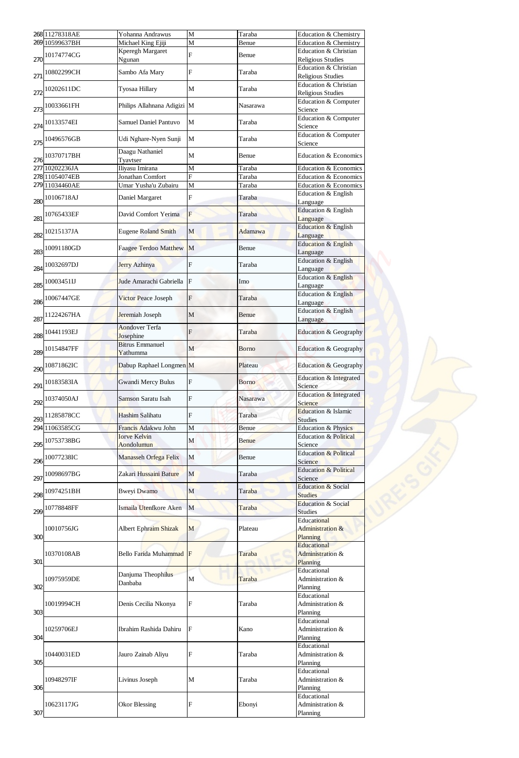|                   | 268 11278318AE | Yohanna Andrawus             | $\mathbf{M}$              | Taraba       | Education & Chemistry            |
|-------------------|----------------|------------------------------|---------------------------|--------------|----------------------------------|
|                   | 269 10599637BH | Michael King Ejiji           | M                         | Benue        | <b>Education &amp; Chemistry</b> |
|                   |                | Kperegh Margaret             |                           |              | <b>Education &amp; Christian</b> |
| 270               | 10174774CG     | Ngunan                       | F                         | Benue        | <b>Religious Studies</b>         |
|                   |                |                              |                           |              | Education & Christian            |
| 271               | 10802299CH     | Sambo Afa Mary               | F                         | Taraba       | <b>Religious Studies</b>         |
|                   |                |                              |                           |              | <b>Education &amp; Christian</b> |
| 272               | 10202611DC     | Tyosaa Hillary               | M                         | Taraba       | <b>Religious Studies</b>         |
|                   |                |                              |                           |              |                                  |
|                   | 10033661FH     | Philips Allahnana Adigizi M  |                           | Nasarawa     | Education & Computer             |
| 273               |                |                              |                           |              | Science                          |
|                   | 10133574EI     | <b>Samuel Daniel Pantuvo</b> | M                         | Taraba       | Education & Computer             |
| 274               |                |                              |                           |              | Science                          |
|                   | 10496576GB     | Udi Nghare-Nyen Sunji        | M                         | Taraba       | Education & Computer             |
| 275               |                |                              |                           |              | Science                          |
|                   | 10370717BH     | Daagu Nathaniel              | $\mathbf{M}$              | Benue        | <b>Education &amp; Economics</b> |
| 276               |                | Tyavtser                     |                           |              |                                  |
|                   | 277 10202236JA | Iliyasu Imirana              | M                         | Taraba       | <b>Education &amp; Economics</b> |
|                   | 278 11054074EB | Jonathan Comfort             | F                         | Taraba       | <b>Education &amp; Economics</b> |
|                   | 279 11034460AE | Umar Yusha'u Zubairu         | M                         | Taraba       | <b>Education &amp; Economics</b> |
|                   |                |                              |                           |              | Education & English              |
| 280               | 10106718AJ     | Daniel Margaret              | F                         | Taraba       | Language                         |
|                   |                |                              |                           |              | Education & English              |
| 281               | 10765433EF     | David Comfort Yerima         | F                         | Taraba       | Language                         |
|                   |                |                              |                           |              | Education & English              |
| 282               | 10215137JA     | <b>Eugene Roland Smith</b>   | M                         | Adamawa      |                                  |
|                   |                |                              |                           |              | Language                         |
|                   | 10091180GD     | <b>Faagee Terdoo Matthew</b> | M                         | Benue        | Education & English              |
| 283               |                |                              |                           |              | Language                         |
|                   | 10032697DJ     | <b>Jerry Azhinya</b>         | $\boldsymbol{\mathrm{F}}$ | Taraba       | Education & English              |
| 284               |                |                              |                           |              | Language                         |
|                   | 10003451IJ     | Jude Amarachi Gabriella F    |                           | Imo          | Education & English              |
| 285               |                |                              |                           |              | Language                         |
|                   |                |                              |                           |              | Education & English              |
| 286               | 10067447GE     | <b>Victor Peace Joseph</b>   | ${\bf F}$                 | Taraba       | Language                         |
|                   |                |                              |                           |              | <b>Education &amp; English</b>   |
| 287               | 11224267HA     | Jeremiah Joseph              | M                         | Benue        | Language                         |
|                   |                | <b>Aondover Terfa</b>        |                           |              |                                  |
| 288               | 10441193EJ     | <b>Josephine</b>             | F                         | Taraba       | Education & Geography            |
|                   |                | <b>Bitrus Emmanuel</b>       |                           |              |                                  |
| 289               | 10154847FF     | Yathumma                     | M                         | <b>Borno</b> | <b>Education &amp; Geography</b> |
|                   |                |                              |                           |              |                                  |
|                   | 10871862IC     | Dabup Raphael Longmen M      |                           | Plateau      | Education & Geography            |
| 290               |                |                              |                           |              |                                  |
|                   | 10183583IA     | <b>Gwandi Mercy Bulus</b>    | ${\bf F}$                 | <b>Borno</b> | Education & Integrated           |
| 291               |                |                              |                           |              | Science                          |
|                   | 10374050AJ     | <b>Samson Saratu Isah</b>    | $\overline{F}$            | Nasarawa     | Education & Integrated           |
| 292               |                |                              |                           |              | <b>Science</b>                   |
|                   | 1285878CC      | <b>Hashim Salihatu</b>       | $\overline{F}$            | Taraba       | <b>Education &amp; Islamic</b>   |
| 293               |                |                              |                           |              | <b>Studies</b>                   |
|                   | 294 11063585CG | Francis Adakwu John          | M                         | Benue        | <b>Education &amp; Physics</b>   |
|                   |                | <b>Iorve Kelvin</b>          |                           |              | Education & Political            |
| 295               | 10753738BG     | Aondolumun                   | M                         | <b>Benue</b> | Science                          |
|                   |                |                              |                           |              | Education & Political            |
| 296               | 10077238IC     | Manasseh Orfega Felix        | M                         | Benue        | Science                          |
|                   |                |                              |                           |              | <b>Education &amp; Political</b> |
| 297               | 10098697BG     | Zakari Hussaini Bature       | M                         | Taraba       | Science                          |
|                   |                |                              |                           |              |                                  |
|                   | 10974251BH     | <b>Bweyi Dwamo</b>           | M                         | Taraba       | <b>Education &amp; Social</b>    |
| 298               |                |                              |                           |              | <b>Studies</b>                   |
|                   | 10778848FF     | Ismaila Utenfkore Aken       | M                         | Taraba       | Education & Social               |
| 299               |                |                              |                           |              | <b>Studies</b>                   |
|                   |                |                              |                           |              | Educational                      |
|                   | 10010756JG     | <b>Albert Ephraim Shizak</b> | M                         | Plateau      | <b>Administration &amp;</b>      |
| 300               |                |                              |                           |              | <b>Planning</b>                  |
|                   |                |                              |                           |              | Educational                      |
|                   | 10370108AB     | Bello Farida Muhammad F      |                           | Taraba       | Administration &                 |
| 301               |                |                              |                           |              | Planning                         |
|                   |                |                              |                           |              | Educational                      |
|                   | 10975959DE     | Danjuma Theophilus           | M                         | Taraba       | Administration &                 |
| 302               |                | Danbaba                      |                           |              | Planning                         |
|                   |                |                              |                           |              | Educational                      |
|                   | 10019994CH     | Denis Cecilia Nkonya         | $\mathbf F$               | Taraba       | Administration &                 |
|                   |                |                              |                           |              |                                  |
| 303               |                |                              |                           |              | Planning                         |
|                   |                |                              |                           |              | Educational                      |
|                   | 10259706EJ     | Ibrahim Rashida Dahiru       | F                         | Kano         | Administration &                 |
| 304               |                |                              |                           |              | Planning                         |
|                   |                |                              |                           |              | Educational                      |
|                   | 10440031ED     | Jauro Zainab Aliyu           | F                         | Taraba       | Administration &                 |
|                   |                |                              |                           |              | Planning                         |
|                   |                |                              |                           |              | Educational                      |
|                   |                |                              |                           |              |                                  |
|                   | 10948297IF     | Livinus Joseph               | M                         | Taraba       | Administration &                 |
|                   |                |                              |                           |              |                                  |
|                   |                |                              |                           |              | Planning<br>Educational          |
|                   | 10623117JG     |                              | F                         |              |                                  |
| 305<br>306<br>307 |                | <b>Okor Blessing</b>         |                           | Ebonyi       | Administration &<br>Planning     |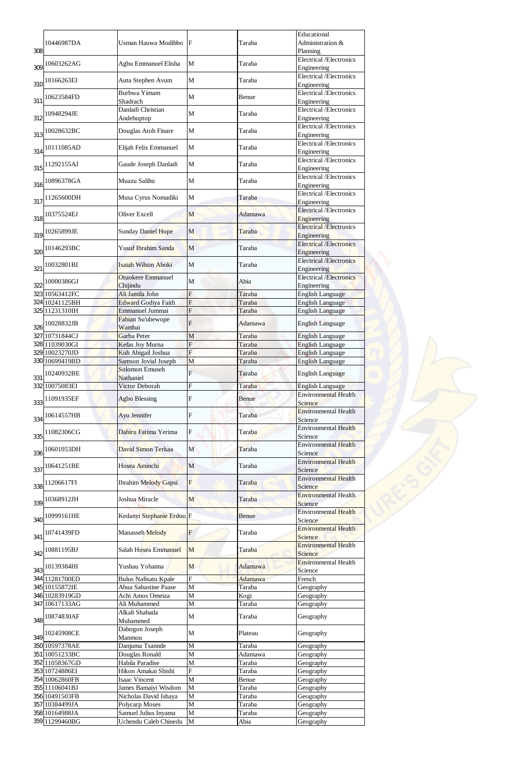|     | 10446987DA                       | Usman Hauwa Modibbo                           | F                                           | Taraba           | Educational<br>Administration &                       |
|-----|----------------------------------|-----------------------------------------------|---------------------------------------------|------------------|-------------------------------------------------------|
| 308 |                                  |                                               |                                             |                  | Planning                                              |
| 309 | 10603262AG                       | Agbu Emmanuel Elisha                          | M                                           | Taraba           | <b>Electrical /Electronics</b><br>Engineering         |
|     | 10166263EI                       | Auta Stephen Avum                             | M                                           | Taraba           | <b>Electrical /Electronics</b>                        |
| 310 |                                  | <b>Burbwa Yimam</b>                           |                                             |                  | Engineering<br><b>Electrical /Electronics</b>         |
| 311 | 10623584FD                       | Shadrach                                      | M                                           | Benue            | Engineering                                           |
| 312 | 10948294JE                       | Danladi Christian<br>Andebuptop               | M                                           | Taraba           | <b>Electrical /Electronics</b><br>Engineering         |
|     | 10028632BC                       | Douglas Atoh Finare                           | M                                           | Taraba           | <b>Electrical</b> / <b>Electronics</b>                |
| 313 |                                  |                                               |                                             |                  | Engineering<br><b>Electrical</b> / <b>Electronics</b> |
| 314 | 10111085AD                       | Elijah Felix Emmanuel                         | M                                           | Taraba           | Engineering                                           |
| 315 | 11292155AJ                       | Gaude Joseph Danladi                          | M                                           | Taraba           | <b>Electrical /Electronics</b><br>Engineering         |
|     | 10896378GA                       | Muazu Salihu                                  | M                                           | Taraba           | <b>Electrical /Electronics</b>                        |
| 316 |                                  |                                               |                                             |                  | Engineering<br><b>Electrical /Electronics</b>         |
| 317 | 1265600DH                        | Musa Cyrus Nomadiki                           | M                                           | Taraba           | Engineering                                           |
| 318 | 10375524EJ                       | <b>Oliver Excell</b>                          | M                                           | Adamawa          | <b>Electrical</b> / Electronics<br>Engineering        |
|     | 10265899JE                       | <b>Sunday Daniel Hope</b>                     | M                                           | Taraba           | <b>Electrical /Electronics</b>                        |
| 319 |                                  |                                               |                                             |                  | Engineering<br><b>Electrical /Electronics</b>         |
| 320 | 10146293BC                       | <b>Yusuf Ibrahim Sanda</b>                    | M                                           | Taraba           | Engineering                                           |
| 321 | 10032801BI                       | Isaiah Wilson Aboki                           | M                                           | Taraba           | <b>Electrical /Electronics</b>                        |
|     |                                  | Otuokere Emmanuel                             |                                             |                  | Engineering<br><b>Electrical /Electronics</b>         |
| 322 | 10000386GJ                       | Chijindu                                      | M                                           | Abia             | Engineering                                           |
|     | 323 10563412FC<br>324 10241125BH | Ali Jamila John<br><b>Edward Godiya Faith</b> | $\boldsymbol{\mathrm{F}}$<br>$\overline{F}$ | Taraba<br>Taraba | <b>English Language</b><br><b>English Language</b>    |
|     | 325 11231310IH                   | Emmanuel Jummai                               | $\overline{F}$                              | Taraba           | <b>English Language</b>                               |
|     | 10028832JB                       | Fabian Su'ubewope                             | $\overline{F}$                              | Adamawa          | <b>English Language</b>                               |
| 326 | 327 10731844CJ                   | Wambai<br>Garba Peter                         | M                                           | Taraba           | <b>English Language</b>                               |
|     | 328 11039030GI                   | Kefas Joy Murna                               | $\overline{\mathrm{F}}$                     | Taraba           | <b>English Language</b>                               |
|     | 329 10023270JD                   | Kuh Abigail Joshua                            | $\overline{F}$                              | Taraba           | <b>English Language</b>                               |
|     | 330 10699419BD                   | <b>Samson Jovial Joseph</b>                   | M                                           | Taraba           | <b>English Language</b>                               |
| 331 | 10240932BE                       | Solomon Emuseh<br>Nathaniel                   | $\overline{F}$                              | Taraba           | <b>English Language</b>                               |
|     | 332 10075083EI                   | Victor Deborah                                | $\overline{F}$                              | Taraba           | <b>English Language</b>                               |
| 333 | 11091935EF                       | Agbo Blessing                                 | F                                           | Benue            | <b>Environmental Health</b><br>Science                |
|     |                                  |                                               | F                                           |                  | <b>Environmental Health</b>                           |
| 334 | 10614557HB                       | Ayu Jennifer                                  |                                             | Taraba           | Science                                               |
| 335 | 11082306CG                       | Dahiru Fatima Yerima                          | $\overline{F}$                              | Taraba           | <b>Environmental Health</b><br>Science                |
|     | 10601053DH                       | David Simon Terkaa                            | M                                           | Taraba           | <b>Environmental Health</b>                           |
| 336 |                                  |                                               |                                             |                  | Science<br><b>Environmental Health</b>                |
| 337 | 10641251BE                       | Hosea Aminchi                                 | M                                           | Taraba           | Science                                               |
|     | 1206617FI                        | <b>Ibrahim Melody Gapsi</b>                   | F                                           | Taraba           | <b>Environmental Health</b>                           |
| 338 |                                  |                                               |                                             |                  | Science<br><b>Environmental Health</b>                |
| 339 | 10368912JH                       | Joshua Miracle                                | M                                           | Taraba           | Science                                               |
| 340 | 10999161HE                       | Kedanyi Stephanie Erdoo <sup>F</sup>          |                                             | <b>Benue</b>     | <b>Environmental Health</b><br>Science                |
|     | 10741439FD                       | <b>Manasseh Melody</b>                        | $\overline{F}$                              | Taraba           | <b>Environmental Health</b>                           |
| 341 |                                  |                                               |                                             |                  | Science                                               |
| 342 | 10881195BJ                       | Salah Hosea Emmanuel                          | M                                           | Taraba           | <b>Environmental Health</b><br>Science                |
|     | 10139384HI                       | Yushau Yohanna                                | M                                           | Adamawa          | <b>Environmental Health</b>                           |
| 343 | 344 11281700ED                   | <b>Bulus Nafisatu Kpale</b>                   | $\overline{\mathrm{F}}$                     | <b>Adamawa</b>   | Science<br>French                                     |
|     | 345 10155872IE                   | Abua Sabastine Paase                          | M                                           | Taraba           | Geography                                             |
|     | 346 10283919GD                   | Achi Amos Omeiza                              | $\mathbf{M}$                                | Kogi             | Geography                                             |
|     | 347 10617133AG                   | Ali Muhammed                                  | $\mathbf{M}$                                | Taraba           | Geography                                             |
|     | 10874830AF                       | Alkali Shahada                                | M                                           | Taraba           | Geography                                             |
| 348 |                                  | Muhammed<br>Dabogon Joseph                    |                                             |                  |                                                       |
| 349 | 10245908CE                       | Manmou                                        | M                                           | Plateau          | Geography                                             |
|     | 350 10597378AE                   | Danjuma Tsannde                               | $\mathbf M$                                 | Taraba           | Geography                                             |
|     | 351 10051233BC                   | Douglas Ronald                                | $\mathbf{M}$                                | Adamawa          | Geography                                             |
|     | 352 11058367GD                   | Habila Paradise                               | $\mathbf M$                                 | Taraba           | Geography                                             |
|     | 353 10724886EI                   | Hikon Amakai Shishi                           | $\overline{\mathrm{F}}$                     | Taraba           | Geography                                             |
|     | 354 10062860FB                   | <b>Isaac Vincent</b>                          | $\mathbf M$                                 | Benue            | Geography                                             |
|     | 355 11106041BJ                   | James Bamaiyi Wisdom                          | M                                           | Taraba           | Geography                                             |
|     | 356 10491503FB                   | Nicholas David Ishaya                         | $\mathbf M$                                 | Taraba           | Geography                                             |
|     | 357 10384499JA                   | Polycarp Moses                                | M                                           | Taraba           | Geography                                             |
|     | 358 10164988JA                   | Samuel Julius Inyama                          | M                                           | Taraba           | Geography                                             |
|     | 359 11299460BG                   | Uchendu Caleb Chinedu                         | M                                           | Abia             | Geography                                             |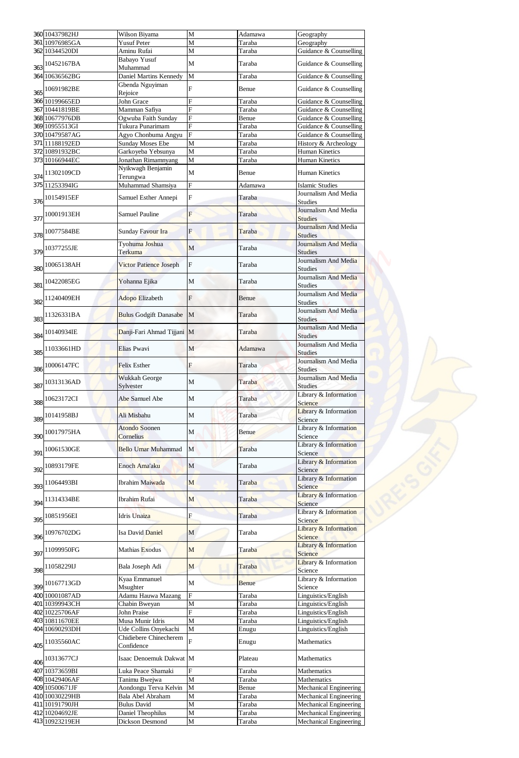|     | 360 10437982HJ | Wilson Biyama                   | M                         | Adamawa      | Geography                     |
|-----|----------------|---------------------------------|---------------------------|--------------|-------------------------------|
|     | 361 10976985GA | <b>Yusuf Peter</b>              | M                         | Taraba       | Geography                     |
|     | 362 10344520DI | Aminu Rufai                     | M                         | Taraba       | Guidance & Counselling        |
|     |                | <b>Babayo Yusuf</b>             |                           |              |                               |
| 363 | 10452167BA     | Muhammad                        | M                         | Taraba       | Guidance & Counselling        |
|     | 364 10636562BG | Daniel Martins Kennedy          | $\mathbf{M}$              | Taraba       | Guidance & Counselling        |
|     |                | Gbenda Nguyiman                 |                           |              |                               |
| 365 | 10691982BE     | Rejoice                         | F                         | Benue        | Guidance & Counselling        |
|     |                |                                 | F                         | Taraba       |                               |
|     | 366 10199665ED | John Grace                      |                           |              | Guidance & Counselling        |
|     | 367 10441819BE | Mamman Safiya                   | F                         | Taraba       | Guidance & Counselling        |
|     | 368 10677976DB | Ogwuba Faith Sunday             | $\overline{F}$            | Benue        | Guidance & Counselling        |
|     | 369 10955513GI | Tukura Punarimam                | F                         | Taraba       | Guidance & Counselling        |
|     | 370 10479587AG | Agyo Chonbuma Angyu             | $\overline{F}$            | Taraba       | Guidance & Counselling        |
|     | 371 11188192ED | <b>Sunday Moses Ebe</b>         | M                         | Taraba       | History & Archeology          |
|     | 372 10891932BC | Garkoyeba Yebsunya              | M                         | Taraba       | <b>Human Kinetics</b>         |
|     | 373 10166944EC | Jonathan Rimamnyang             | $\mathbf{M}$              | Taraba       | <b>Human Kinetics</b>         |
|     |                | Nyikwagh Benjamin               |                           |              |                               |
| 374 | 11302109CD     |                                 | M                         | Benue        | <b>Human Kinetics</b>         |
|     |                | Terungwa                        |                           |              |                               |
|     | 375 11253394IG | Muhammad Shamsiya               | $\overline{F}$            | Adamawa      | <b>Islamic Studies</b>        |
|     | 10154915EF     | Samuel Esther Annepi            | $\boldsymbol{\mathrm{F}}$ | Taraba       | Journalism And Media          |
| 376 |                |                                 |                           |              | <b>Studies</b>                |
|     |                | <b>Samuel Pauline</b>           | F                         | Taraba       | Journalism And Media          |
| 377 | 10001913EH     |                                 |                           |              | <b>Studies</b>                |
|     |                |                                 |                           |              | Journalism And Media          |
| 378 | 10077584BE     | <b>Sunday Favour Ira</b>        | $\mathbf F$               | Taraba       | <b>Studies</b>                |
|     |                | Tyohuma Joshua                  |                           |              | <b>Journalism And Media</b>   |
| 379 | 10377255JE     |                                 | M                         | Taraba       |                               |
|     |                | Terkuma                         |                           |              | <b>Studies</b>                |
|     | 10065138AH     | <b>Victor Patience Joseph</b>   | F                         | Taraba       | Journalism And Media          |
| 380 |                |                                 |                           |              | <b>Studies</b>                |
|     | 10422085EG     |                                 | M                         | Taraba       | <b>Journalism And Media</b>   |
| 381 |                | Yohanna Ejika                   |                           |              | <b>Studies</b>                |
|     |                |                                 |                           |              | Journalism And Media          |
| 382 | 11240409EH     | <b>Adopo Elizabeth</b>          | $\mathbf F$               | Benue        | <b>Studies</b>                |
|     |                |                                 |                           |              | Journalism And Media          |
| 383 | 11326331BA     | <b>Bulus Godgift Danasabe</b> M |                           | Taraba       | <b>Studies</b>                |
|     |                |                                 |                           |              | <b>Journalism And Media</b>   |
|     | 10140934IE     | Danji-Fari Ahmad Tijjani M      |                           | Taraba       |                               |
| 384 |                |                                 |                           |              | <b>Studies</b>                |
|     | 11033661HD     | Elias Pwavi                     | M                         | Adamawa      | Journalism And Media          |
| 385 |                |                                 |                           |              | <b>Studies</b>                |
|     |                |                                 |                           |              | <b>Journalism And Media</b>   |
| 386 | 10006147FC     | <b>Felix Esther</b>             | ${\bf F}$                 | Taraba       | <b>Studies</b>                |
|     |                | <b>Wukkah George</b>            |                           |              | <b>Journalism And Media</b>   |
| 387 | 10313136AD     | Sylvester                       | M                         | Taraba       | <b>Studies</b>                |
|     |                |                                 |                           |              | Library & Information         |
|     | 10623172CI     | Abe Samuel Abe                  | M                         | Taraba       |                               |
| 388 |                |                                 |                           |              | <b>Science</b>                |
|     | 10141958BJ     | Ali Misbahu                     | M                         | Taraba       | Library & Information         |
| 389 |                |                                 |                           |              | Science                       |
|     | 10017975HA     | <b>Atondo Soonen</b>            | M                         | <b>Benue</b> | Library & Information         |
| 390 |                | <b>Cornelius</b>                |                           |              | Science                       |
|     |                |                                 |                           |              | Library & Information         |
| 391 | 10061530GE     | <b>Bello Umar Muhammad</b>      | M                         | Taraba       | Science                       |
|     |                |                                 |                           |              | Library & Information         |
|     | 10893179FE     | Enoch Ama'aku                   | M                         | Taraba       |                               |
| 392 |                |                                 |                           |              | Science                       |
|     | 11064493BI     | <b>Ibrahim Maiwada</b>          | M                         | Taraba       | Library & Information         |
| 393 |                |                                 |                           |              | Science                       |
|     | 11314334BE     | Ibrahim Rufai                   | M                         | Taraba       | Library & Information         |
| 394 |                |                                 |                           |              | Science                       |
|     |                |                                 |                           |              | Library & Information         |
| 395 | 10851956EI     | Idris Unaiza                    | F                         | Taraba       | Science                       |
|     |                |                                 |                           |              | Library & Information         |
| 396 | 10976702DG     | <b>Isa David Daniel</b>         | M                         | Taraba       | Science                       |
|     |                |                                 |                           |              |                               |
|     | 11099950FG     | Mathias Exodus                  | M                         | Taraba       | Library & Information         |
| 397 |                |                                 |                           |              | Science                       |
|     | 1058229IJ      | Bala Joseph Adi                 | M                         | Taraba       | Library & Information         |
| 398 |                |                                 |                           |              | Science                       |
|     |                | Kyaa Emmanuel                   |                           |              | Library & Information         |
| 399 | 10167713GD     | Msughter                        | $\mathbf{M}$              | <b>Benue</b> | Science                       |
|     | 400 10001087AD | Adamu Hauwa Mazang              | $\overline{F}$            | Taraba       | Linguistics/English           |
|     | 401 10399943CH | Chabin Bweyan                   | $\mathbf{M}$              | Taraba       | Linguistics/English           |
|     |                |                                 |                           |              |                               |
| 402 | 10225706AF     | John Praise                     | F                         | Taraba       | Linguistics/English           |
|     | 403 10811670EE | Musa Munir Idris                | M                         | Taraba       | Linguistics/English           |
|     | 404 10690293DH | Ude Collins Onyekachi           | M                         | Enugu        | Linguistics/English           |
|     | 11035560AC     | Chidiebere Chinecherem          | F                         |              | Mathematics                   |
| 405 |                | Confidence                      |                           | Enugu        |                               |
|     |                |                                 |                           |              |                               |
| 406 | 10313677CJ     | Isaac Denoemuk Dakwat M         |                           | Plateau      | Mathematics                   |
|     | 407 10373659BI | Luka Peace Shamaki              | $\boldsymbol{F}$          | Taraba       | Mathematics                   |
|     |                |                                 |                           |              |                               |
|     | 408 10429406AF | Tanimu Bwejwa                   | M                         | Taraba       | Mathematics                   |
|     | 409 10500671JF | Aondongu Terva Kelvin           | M                         | Benue        | <b>Mechanical Engineering</b> |
|     | 410 10030229HB | <b>Bala Abel Abraham</b>        | $\mathbf{M}$              | Taraba       | <b>Mechanical Engineering</b> |
|     | 411 10191790JH | <b>Bulus David</b>              | M                         | Taraba       | <b>Mechanical Engineering</b> |
|     | 412 10204692JE | Daniel Theophilus               | M                         | Taraba       | <b>Mechanical Engineering</b> |
|     | 413 10923219EH | Dickson Desmond                 | $\mathbf M$               | Taraba       | <b>Mechanical Engineering</b> |
|     |                |                                 |                           |              |                               |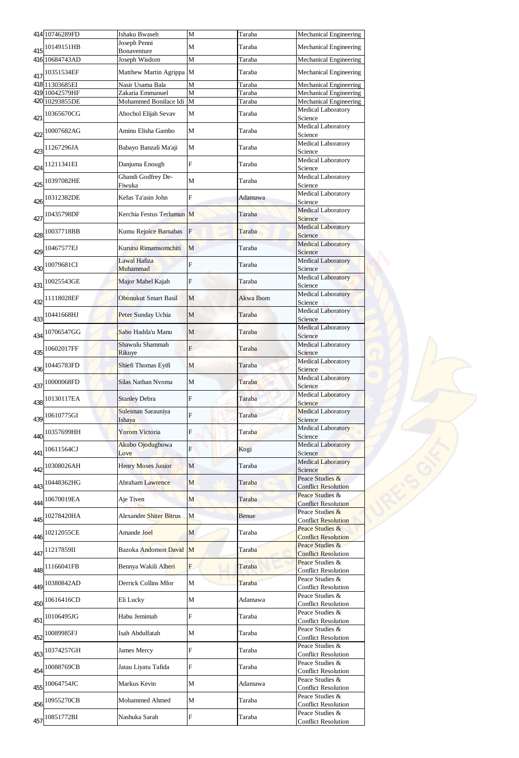|     | 414 10746289FD | Ishaku Bwaseh                              | M                         | Taraba       | Mechanical Engineering                        |  |
|-----|----------------|--------------------------------------------|---------------------------|--------------|-----------------------------------------------|--|
|     | 10149151HB     | Joseph Penni                               | M                         | Taraba       | <b>Mechanical Engineering</b>                 |  |
| 415 | 416 10684743AD | Bonaventure<br>Joseph Wisdom               | M                         | Taraba       | <b>Mechanical Engineering</b>                 |  |
|     | 10351534EF     | Matthew Martin Agrippa M                   |                           | Taraba       | <b>Mechanical Engineering</b>                 |  |
| 417 | 418 11303685EI | Nasir Usama Bala                           | M                         | Taraba       | <b>Mechanical Engineering</b>                 |  |
|     | 419 10042579HF | Zakaria Emmanuel                           | M                         | Taraba       | <b>Mechanical Engineering</b>                 |  |
|     | 420 10293855DE | Mohammed Boniface Idi M                    |                           | Taraba       | <b>Mechanical Engineering</b>                 |  |
| 421 | 10365670CG     | Abochol Elijah Sevav                       | M                         | Taraba       | <b>Medical Laboratory</b><br>Science          |  |
| 422 | 10007682AG     | Aminu Elisha Gambo                         | M                         | Taraba       | <b>Medical Laboratory</b><br>Science          |  |
| 423 | 11267296JA     | Babayo Banzali Ma'aji                      | M                         | Taraba       | <b>Medical Laboratory</b><br>Science          |  |
| 424 | 11211341EI     | Danjuma Enough                             | ${\bf F}$                 | Taraba       | <b>Medical Laboratory</b><br>Science          |  |
| 425 | 10397082HE     | Ghandi Godfrey De-<br>Fiwuka               | M                         | Taraba       | <b>Medical Laboratory</b><br>Science          |  |
|     | 10312382DE     | Kefas Ta'asin John                         | F                         | Adamawa      | <b>Medical Laboratory</b>                     |  |
| 426 | 10435798DF     | Kerchia Festus Terlumun M                  |                           | Taraba       | Science<br><b>Medical Laboratory</b>          |  |
| 427 | 10037718BB     | Kumu Rejoice Barnabas                      | $\mathbf F$               | Taraba       | Science<br><b>Medical Laboratory</b>          |  |
| 428 |                | Kurutsi Rimamsomchiti                      | M                         | Taraba       | Science<br><b>Medical Laboratory</b>          |  |
| 429 | 10467577EJ     |                                            |                           |              | Science                                       |  |
| 430 | 10079681CI     | Lawal Hafiza<br>Muhammad                   | ${\bf F}$                 | Taraba       | <b>Medical Laboratory</b><br>Science          |  |
| 431 | 10025543GE     | Major Mabel Kajah                          | ${\bf F}$                 | Taraba       | <b>Medical Laboratory</b><br>Science          |  |
| 432 | 11118028EF     | Obonukut Smart Basil                       | M                         | Akwa Ibom    | <b>Medical Laboratory</b><br>Science          |  |
| 433 | 10441668HJ     | Peter Sunday Uchia                         | $\mathbf{M}$              | Taraba       | <b>Medical Laboratory</b><br>Science          |  |
| 434 | 10706547GG     | Sabo Hadda'u Manu                          | M                         | Taraba       | <b>Medical Laboratory</b><br>Science          |  |
|     | 10602017FF     | Shawulu Shammah                            | F                         | Taraba       | <b>Medical Laboratory</b>                     |  |
| 435 | 10445783FD     | Rikuye<br>Shiefi Thomas Eyifi              | M                         | Taraba       | Science<br><b>Medical Laboratory</b>          |  |
| 436 |                |                                            |                           |              | Science<br><b>Medical Laboratory</b>          |  |
| 437 | 10000068FD     | Silas Nathan Nyoma                         | M                         | Taraba       | Science<br>Medical Laboratory                 |  |
| 438 | 10130117EA     | <b>Stanley Debra</b><br>Suleiman Sarauniya | $\overline{F}$            | Taraba       | Science<br><b>Medical Laboratory</b>          |  |
| 439 | 10610775GI     | Ishaya                                     | $\overline{F}$            | Taraba       | Science                                       |  |
| 440 | 10357699HH     | <b>Yorom Victoria</b>                      | $\overline{F}$            | Taraba       | Medical Laboratory<br>Science                 |  |
| 441 | 10611564CJ     | Akubo Ojodugbowa<br>Love                   | $\overline{F}$            | Kogi         | <b>Medical Laboratory</b><br>Science          |  |
| 442 | 10308026AH     | <b>Henry Moses Junior</b>                  | M                         | Taraba       | <b>Medical Laboratory</b><br>Science          |  |
| 443 | 10448362HG     | <b>Abraham Lawrence</b>                    | M                         | Taraba       | Peace Studies &<br><b>Conflict Resolution</b> |  |
| 444 | 10670019EA     | Aje Tiven                                  | M                         | Taraba       | Peace Studies &<br><b>Conflict Resolution</b> |  |
| 445 | 10278420HA     | <b>Alexander Shiter Bitrus</b>             | M                         | <b>Benue</b> | Peace Studies &<br><b>Conflict Resolution</b> |  |
|     | 10212055CE     | <b>Amande Joel</b>                         | M                         | Taraba       | Peace Studies &                               |  |
| 446 | 11217859II     | Bazoka Andomon David M                     |                           | Taraba       | <b>Conflict Resolution</b><br>Peace Studies & |  |
| 447 | 11166041FB     | Bennya Wakili Alheri                       | F                         | Taraba       | <b>Conflict Resolution</b><br>Peace Studies & |  |
| 448 | 10380842AD     | <b>Derrick Collins Mfor</b>                | M                         | Taraba       | <b>Conflict Resolution</b><br>Peace Studies & |  |
| 449 |                |                                            |                           |              | <b>Conflict Resolution</b><br>Peace Studies & |  |
| 450 | 10616416CD     | Eli Lucky                                  | M                         | Adamawa      | <b>Conflict Resolution</b><br>Peace Studies & |  |
| 451 | 10106495JG     | Habu Jemimah                               | $\boldsymbol{\mathrm{F}}$ | Taraba       | <b>Conflict Resolution</b><br>Peace Studies & |  |
| 452 | 10089985FJ     | Isah Abdulfatah                            | M                         | Taraba       | <b>Conflict Resolution</b>                    |  |
| 453 | 10374257GH     | <b>James Mercy</b>                         | F                         | Taraba       | Peace Studies &<br><b>Conflict Resolution</b> |  |
| 454 | 10088769CB     | Jatau Liyatu Tafida                        | $\boldsymbol{\mathrm{F}}$ | Taraba       | Peace Studies &<br><b>Conflict Resolution</b> |  |
| 455 | 10064754JC     | Markus Kevin                               | M                         | Adamawa      | Peace Studies &<br><b>Conflict Resolution</b> |  |
| 456 | 10955270CB     | Mohammed Ahmed                             | $\mathbf M$               | Taraba       | Peace Studies &<br><b>Conflict Resolution</b> |  |
| 457 | 10851772BI     | Nashuka Sarah                              | F                         | Taraba       | Peace Studies &<br><b>Conflict Resolution</b> |  |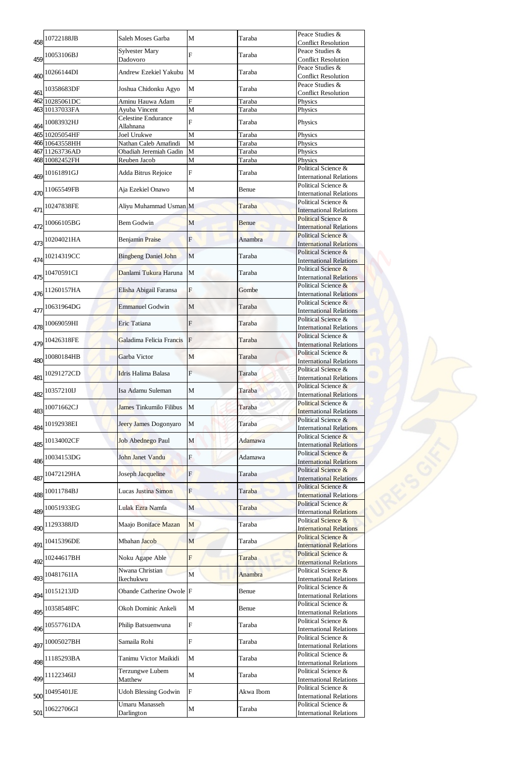|     | 10722188JB                       | Saleh Moses Garba                           | M                         | Taraba           | Peace Studies &                                                  |
|-----|----------------------------------|---------------------------------------------|---------------------------|------------------|------------------------------------------------------------------|
| 458 |                                  | <b>Sylvester Mary</b>                       |                           |                  | <b>Conflict Resolution</b><br>Peace Studies &                    |
| 459 | 10053106BJ                       | Dadovoro                                    | $\overline{F}$            | Taraba           | <b>Conflict Resolution</b>                                       |
|     | 10266144DI                       | Andrew Ezekiel Yakubu                       | M                         | Taraba           | Peace Studies &                                                  |
| 460 |                                  |                                             |                           |                  | <b>Conflict Resolution</b>                                       |
| 461 | 10358683DF                       | Joshua Chidonku Agyo                        | M                         | Taraba           | Peace Studies &<br><b>Conflict Resolution</b>                    |
|     | 462 10285061DC                   | Aminu Hauwa Adam                            | F                         | Taraba           | Physics                                                          |
|     | 463 10137033FA                   | Ayuba Vincent                               | M                         | Taraba           | Physics                                                          |
|     | 10083932HJ                       | <b>Celestine Endurance</b>                  | F                         | Taraba           | Physics                                                          |
| 464 |                                  | Allahnana                                   |                           |                  |                                                                  |
|     | 465 10205054HF<br>466 10643558HH | <b>Joel Urukwe</b><br>Nathan Caleb Amafindi | M<br>M                    | Taraba           | Physics                                                          |
|     | 467 11263736AD                   | <b>Obadiah Jeremiah Gadin</b>               | M                         | Taraba<br>Taraba | Physics<br>Physics                                               |
|     | 468 10082452FH                   | Reuben Jacob                                | M                         | Taraba           | Physics                                                          |
|     | 10161891GJ                       |                                             | F                         | Taraba           | Political Science &                                              |
| 469 |                                  | Adda Bitrus Rejoice                         |                           |                  | <b>International Relations</b>                                   |
|     | 11065549FB                       | Aja Ezekiel Onawo                           | M                         | Benue            | Political Science &                                              |
| 470 |                                  |                                             |                           |                  | <b>International Relations</b><br>Political Science &            |
| 471 | 10247838FE                       | Aliyu Muhammad Usman M                      |                           | Taraba           | <b>International Relations</b>                                   |
|     |                                  |                                             |                           |                  | Political Science &                                              |
| 472 | 10066105BG                       | <b>Bem Godwin</b>                           | M                         | <b>Benue</b>     | <b>International Relations</b>                                   |
|     | 10204021HA                       | <b>Benjamin Praise</b>                      | $\boldsymbol{\mathrm{F}}$ | Anambra          | Political Science &                                              |
| 473 |                                  |                                             |                           |                  | <b>International Relations</b>                                   |
| 474 | 10214319CC                       | <b>Bingbeng Daniel John</b>                 | M                         | Taraba           | Political Science &<br><b>International Relations</b>            |
|     |                                  |                                             |                           |                  | Political Science &                                              |
|     | 475 10470591 CI                  | Danlami Tukura Haruna                       | $\mathbf{M}$              | Taraba           | <b>International Relations</b>                                   |
|     | 11260157HA                       | Elisha Abigail Faransa                      | ${\rm F}$                 | Gombe            | Political Science &                                              |
| 476 |                                  |                                             |                           |                  | <b>International Relations</b>                                   |
|     | 10631964DG                       | <b>Emmanuel Godwin</b>                      | M                         | Taraba           | Political Science &                                              |
| 477 |                                  |                                             |                           |                  | <b>International Relations</b><br>Political Science &            |
| 478 | 10069059HI                       | Eric Tatiana                                | F                         | Taraba           | <b>International Relations</b>                                   |
|     |                                  |                                             |                           |                  | Political Science &                                              |
| 479 | 10426318FE                       | Galadima Felicia Francis                    | F                         | Taraba           | <b>International Relations</b>                                   |
|     | 10080184HB                       | Garba Victor                                | M                         | Taraba           | Political Science &                                              |
| 480 |                                  |                                             |                           |                  | <b>International Relations</b><br>Political Science &            |
| 481 | 10291272CD                       | Idris Halima Balasa                         | $\overline{F}$            | Taraba           | <b>International Relations</b>                                   |
|     |                                  |                                             |                           |                  | Political Science &                                              |
| 482 | 10357210IJ                       | Isa Adamu Suleman                           | M                         | Taraba           | <b>International Relations</b>                                   |
|     | 10071662CJ                       | <b>James Tinkumilo Filibus</b>              | M                         | Taraba           | Political Science &                                              |
| 483 |                                  |                                             |                           |                  | <b>International Relations</b>                                   |
| 484 | 10192938EI                       | Jeery James Dogonyaro                       | M                         | Taraba           | Political Science &<br><b>International Relations</b>            |
|     |                                  |                                             |                           |                  | Political Science &                                              |
| 485 | 10134002CF                       | Job Abednego Paul                           | M                         | Adamawa          | <b>International Relations</b>                                   |
|     | 10034153DG                       | John Janet Vandu                            | ${\bf F}$                 | Adamawa          | Political Science &                                              |
| 486 |                                  |                                             |                           |                  | <b>International Relations</b>                                   |
|     | 10472129HA                       | Joseph Jacqueline                           | ${\bf F}$                 | Taraba           | Political Science &                                              |
| 487 |                                  |                                             |                           |                  | <b>International Relations</b><br>Political Science &            |
| 488 | 10011784BJ                       | Lucas Justina Simon                         | ${\bf F}$                 | Taraba           | <b>International Relations</b>                                   |
|     |                                  | Lulak Ezra Namfa                            |                           |                  | Political Science &                                              |
| 489 | 10051933EG                       |                                             | M                         | Taraba           | <b>International Relations</b>                                   |
|     | 11293388JD                       | Maajo Boniface Mazan                        | M                         | Taraba           | Political Science &                                              |
| 490 |                                  |                                             |                           |                  | <b>International Relations</b><br><b>Political Science &amp;</b> |
| 491 | 10415396DE                       | Mbahan Jacob                                | M                         | Taraba           | <b>International Relations</b>                                   |
|     |                                  |                                             |                           |                  | Political Science &                                              |
| 492 | 10244617BH                       | Noku Agape Able                             | $\overline{\mathrm{F}}$   | Taraba           | <b>International Relations</b>                                   |
|     | 10481761IA                       | Nwana Christian                             | $\mathbf M$               | Anambra          | Political Science &                                              |
| 493 |                                  | Ikechukwu                                   |                           |                  | <b>International Relations</b>                                   |
| 494 | 10151213JD                       | Obande Catherine Owole F                    |                           | Benue            | Political Science &                                              |
|     |                                  |                                             |                           |                  | <b>International Relations</b><br>Political Science &            |
| 495 | 10358548FC                       | Okoh Dominic Ankeli                         | M                         | Benue            | <b>International Relations</b>                                   |
|     | 10557761DA                       |                                             | F                         | Taraba           | Political Science &                                              |
| 496 |                                  | Philip Batsuenwuna                          |                           |                  | <b>International Relations</b>                                   |
|     | 10005027BH                       | Samaila Rohi                                | F                         | Taraba           | Political Science &                                              |
| 497 |                                  |                                             |                           |                  | <b>International Relations</b><br>Political Science &            |
| 498 | 1185293BA                        | Tanimu Victor Maikidi                       | M                         | Taraba           | <b>International Relations</b>                                   |
|     |                                  | Terzungwe Lubem                             |                           |                  | Political Science &                                              |
| 499 | 1122346IJ                        | Matthew                                     | M                         | Taraba           | <b>International Relations</b>                                   |
|     | 10495401JE                       | <b>Udoh Blessing Godwin</b>                 | $\mathbf F$               | Akwa Ibom        | Political Science &                                              |
| 500 |                                  |                                             |                           |                  | <b>International Relations</b>                                   |
| 501 | 10622706GI                       | Umaru Manasseh<br>Darlington                | M                         | Taraba           | Political Science &<br><b>International Relations</b>            |
|     |                                  |                                             |                           |                  |                                                                  |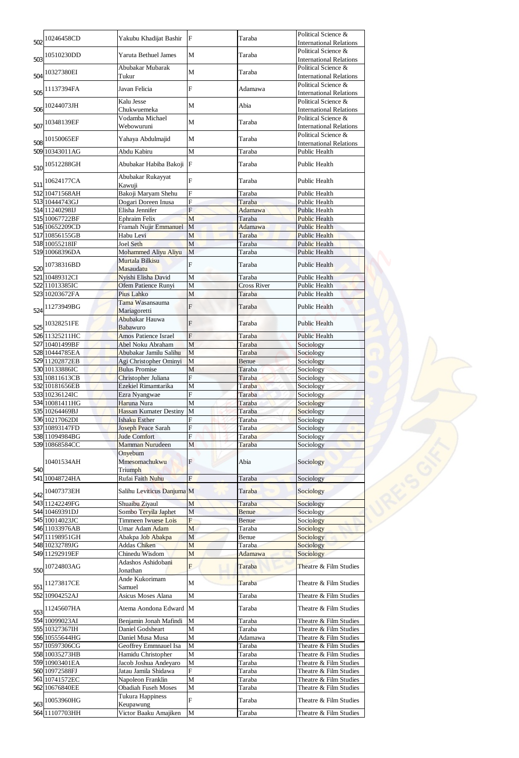|     | 10246458CD                       | Yakubu Khadijat Bashir                           | F                            | Taraba             | Political Science &                                   |
|-----|----------------------------------|--------------------------------------------------|------------------------------|--------------------|-------------------------------------------------------|
| 502 |                                  |                                                  |                              |                    | <b>International Relations</b><br>Political Science & |
| 503 | 10510230DD                       | <b>Yaruta Bethuel James</b>                      | M                            | Taraba             | <b>International Relations</b>                        |
|     | 10327380EI                       | Abubakar Mubarak                                 | M                            | Taraba             | Political Science &                                   |
| 504 |                                  | Tukur                                            |                              |                    | <b>International Relations</b>                        |
| 505 | 11137394FA                       | Javan Felicia                                    | F                            | Adamawa            | Political Science &<br><b>International Relations</b> |
|     |                                  | Kalu Jesse                                       |                              |                    | Political Science &                                   |
| 506 | 10244073JH                       | Chukwuemeka                                      | M                            | Abia               | <b>International Relations</b>                        |
|     | 10348139EF                       | Vodamba Michael                                  | M                            | Taraba             | Political Science &                                   |
| 507 |                                  | Webowuruni                                       |                              |                    | <b>International Relations</b><br>Political Science & |
| 508 | 10150065EF                       | Yahaya Abdulmajid                                | M                            | Taraba             | <b>International Relations</b>                        |
|     | 509 10343011AG                   | Abdu Kabiru                                      | $\mathbf{M}$                 | Taraba             | Public Health                                         |
|     | 10512288GH                       | Abubakar Habiba Bakoji F                         |                              | Taraba             | <b>Public Health</b>                                  |
| 510 |                                  |                                                  |                              |                    |                                                       |
| 511 | 10624177CA                       | Abubakar Rukayyat<br>Kawuji                      | $\mathbf{F}$                 | Taraba             | Public Health                                         |
|     | 512 10471568AH                   | Bakoji Maryam Shehu                              | $\overline{F}$               | Taraba             | <b>Public Health</b>                                  |
|     | 513 10444743GJ                   | Dogari Doreen Inusa                              | $F_{\rm}$                    | Taraba             | <b>Public Health</b>                                  |
|     | 514 11240298IJ                   | Elisha Jennifer                                  | F                            | <b>Adamawa</b>     | <b>Public Health</b>                                  |
|     | 515 10067722BF                   | <b>Ephraim Felix</b>                             | M                            | Taraba             | <b>Public Health</b>                                  |
|     | 516 10652209CD                   | Framah Nujir Emmanuel                            | M                            | <b>Adamawa</b>     | <b>Public Health</b>                                  |
| 517 | 10856155GB<br>518 10055218IF     | Habu Levi<br>Joel Seth                           | M<br>M                       | Taraba<br>Taraba   | <b>Public Health</b><br><b>Public Health</b>          |
|     | 519 10068396DA                   | Mohammed Aliyu Aliyu                             | M                            | Taraba             | <b>Public Health</b>                                  |
|     |                                  | Murtala Bilkisu                                  |                              |                    |                                                       |
| 520 | 10738316BD                       | Masaudatu                                        | F                            | Taraba             | <b>Public Health</b>                                  |
|     | 521 10489312CI                   | Nyishi Elisha David                              | $\mathbf{M}$                 | Taraba             | <b>Public Health</b>                                  |
|     | 522 11013385IC                   | Ofem Patience Runyi                              | M                            | <b>Cross River</b> | <b>Public Health</b>                                  |
|     | 523 10203672FA                   | <b>Pius Lahko</b>                                | M                            | Taraba             | <b>Public Health</b>                                  |
| 524 | 11273949BG                       | Tama Wasansauma<br>Mariagoretti                  | F                            | Taraba             | <b>Public Health</b>                                  |
|     | 0328251FE                        | Abubakar Hauwa                                   | F                            | Taraba             | <b>Public Health</b>                                  |
| 525 | 526 11325211HC                   | Babawuro<br><b>Amos Patience Israel</b>          | $\overline{F}$               | Taraba             | <b>Public Health</b>                                  |
|     | 527 10401499BF                   | Abel Noku Abraham                                | M                            | Taraba             | Sociology                                             |
|     | 528 10444785EA                   | Abubakar Jamilu Salihu                           | M                            | Taraba             | Sociology                                             |
|     | 529 11202872EB                   | Agi Christopher Ominyi                           | M                            | <b>Benue</b>       | Sociology                                             |
|     | 530 10133886IC                   | <b>Bulus Promise</b>                             | M                            | Taraba             | Sociology                                             |
|     | 531 10811613CB                   | Christopher Juliana                              | F                            | Taraba             | Sociology                                             |
|     | 532 10181656EB                   | Ezekiel Rimamtarika                              | M                            | Taraba             | Sociology                                             |
|     | 533 10236124IC                   | Ezra Nyangwae                                    | F                            | Taraba             | Sociology                                             |
|     | 534 10081411HG                   | Haruna Nura                                      | M                            | Taraba             | Sociology                                             |
|     | 535 10264469BJ                   | <b>Hassan Kumater Destiny</b>                    | $\mathbf M$                  | Taraba             | Sociology                                             |
|     | 536 10217062DI                   | <b>Ishaku Esther</b>                             | $\mathbf{F}$                 | Taraba             | Sociology                                             |
|     | 537 10893147FD<br>538 11094984BG | <b>Joseph Peace Sarah</b><br><b>Jude Comfort</b> | F<br>$\overline{F}$          | Taraba<br>Taraba   | Sociology<br>Sociology                                |
|     | 539 10868584CC                   | <b>Mamman Nurudeen</b>                           | M                            | Taraba             | Sociology                                             |
|     |                                  | Onyebum                                          |                              |                    |                                                       |
|     | 10401534AH                       | Mmesomachukwu                                    | F                            | Abia               | Sociology                                             |
| 540 | 541 10048724HA                   | Triumph<br>Rufai Faith Nuhu                      | F                            | Taraba             | Sociology                                             |
|     |                                  |                                                  |                              |                    |                                                       |
| 542 | 10407373EH                       | Salihu Leviticus Danjuma M                       |                              | Taraba             | Sociology                                             |
|     | 543 11242249FG                   | Shuaibu Ziyaul                                   | M                            | Taraba             | Sociology                                             |
|     | 544 10469391DJ                   | Sombo Teryila Japhet                             | M                            | <b>Benue</b>       | Sociology                                             |
|     | 545 10014023JC                   | <b>Timmeen Iwuese Lois</b>                       | $\overline{F}$               | <b>Benue</b>       | Sociology                                             |
|     | 546 11033976AB                   | Umar Adam Adam                                   | M                            | Taraba             | <b>Sociology</b>                                      |
|     | 547 11198951GH                   | Abakpa Job Abakpa                                | M                            | Benue              | Sociology                                             |
|     | 548 10232789JG                   | Addas Chiken                                     | M                            | Taraba             | Sociology                                             |
|     | 549 11292919EF                   | Chinedu Wisdom<br>Adashos Ashidobani             | $\mathbf{M}$                 | <b>Adamawa</b>     | Sociology                                             |
| 550 | 10724803AG                       | Jonathan                                         | F                            | Taraba             | Theatre & Film Studies                                |
| 551 | 1273817CE                        | Ande Kukorimam<br>Samuel                         | M                            | Taraba             | Theatre & Film Studies                                |
|     | 552 10904252AJ                   | <b>Asicus Moses Alana</b>                        | $\mathbf{M}$                 | Taraba             | Theatre & Film Studies                                |
| 553 | 1245607HA                        | Atema Aondona Edward M                           |                              | Taraba             | Theatre & Film Studies                                |
|     | 554 10099023AI                   | Benjamin Jonah Mafindi                           | M                            | Taraba             | Theatre & Film Studies                                |
|     | 555 10327367IH                   | <b>Daniel Godsheart</b>                          | M                            | Taraba             | Theatre & Film Studies                                |
|     | 556 10555644HG                   | Daniel Musa Musa                                 | M                            | Adamawa            | Theatre & Film Studies                                |
|     | 557 10597306CG                   | <b>Geoffrey Emmnauel Isa</b>                     | M                            | Taraba             | Theatre & Film Studies                                |
|     | 558 10035273HB                   | Hamidu Christopher                               | $\mathbf M$                  | Taraba             | Theatre & Film Studies                                |
|     | 559 10903401EA                   | Jacob Joshua Andeyaro                            | $\mathbf{M}$                 | Taraba             | Theatre & Film Studies                                |
|     | 560 10972588FJ                   | Jatau Jamila Shidawa                             | $\overline{F}$               | Taraba             | Theatre & Film Studies                                |
|     | 561 10741572EC<br>562 10676840EE | Napoleon Franklin<br><b>Obadiah Fuseh Moses</b>  | $\mathbf{M}$<br>$\mathbf{M}$ | Taraba<br>Taraba   | Theatre & Film Studies<br>Theatre & Film Studies      |
|     |                                  | <b>Tukura Happiness</b>                          |                              |                    |                                                       |
| 563 | 10053960HG                       | Keupawung                                        |                              | Taraba             | Theatre & Film Studies                                |
|     | 564 11107703HH                   | Victor Baaku Amajiken                            | $\mathbf{M}$                 | Taraba             | Theatre & Film Studies                                |